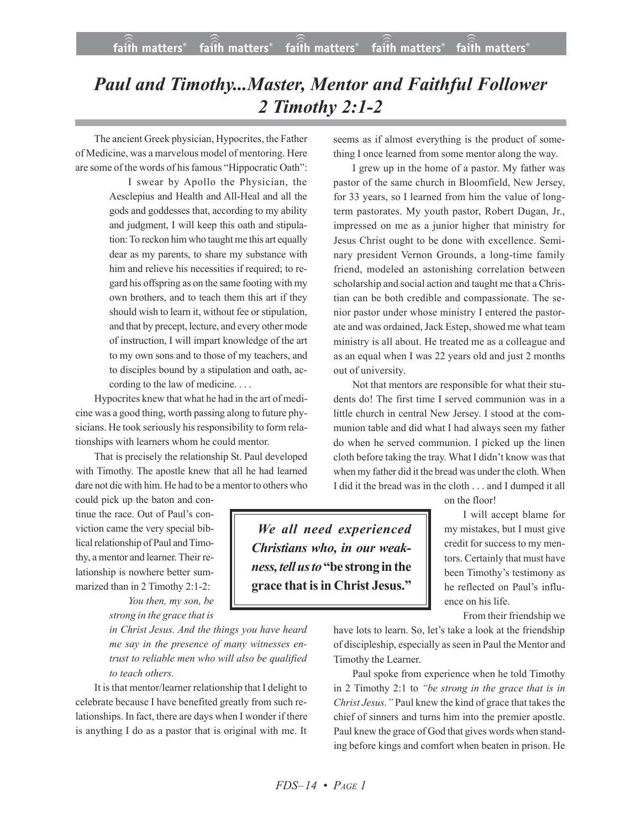## *Paul and Timothy...Master, Mentor and Faithful Follower 2 Timothy 2:1-2*

The ancient Greek physician, Hypocrites, the Father of Medicine, was a marvelous model of mentoring. Here are some of the words of his famous "Hippocratic Oath":

> I swear by Apollo the Physician, the Aesclepius and Health and All-Heal and all the gods and goddesses that, according to my ability and judgment, I will keep this oath and stipulation: To reckon him who taught me this art equally dear as my parents, to share my substance with him and relieve his necessities if required; to regard his offspring as on the same footing with my own brothers, and to teach them this art if they should wish to learn it, without fee or stipulation, and that by precept, lecture, and every other mode of instruction, I will impart knowledge of the art to my own sons and to those of my teachers, and to disciples bound by a stipulation and oath, according to the law of medicine. . . .

Hypocrites knew that what he had in the art of medicine was a good thing, worth passing along to future physicians. He took seriously his responsibility to form relationships with learners whom he could mentor.

That is precisely the relationship St. Paul developed with Timothy. The apostle knew that all he had learned dare not die with him. He had to be a mentor to others who

could pick up the baton and continue the race. Out of Paul's conviction came the very special biblical relationship of Paul and Timothy, a mentor and learner. Their relationship is nowhere better summarized than in 2 Timothy 2:1-2:

*You then, my son, be strong in the grace that is*

*in Christ Jesus. And the things you have heard me say in the presence of many witnesses entrust to reliable men who will also be qualified to teach others.*

It is that mentor/learner relationship that I delight to celebrate because I have benefited greatly from such relationships. In fact, there are days when I wonder if there is anything I do as a pastor that is original with me. It seems as if almost everything is the product of something I once learned from some mentor along the way.

I grew up in the home of a pastor. My father was pastor of the same church in Bloomfield, New Jersey, for 33 years, so I learned from him the value of longterm pastorates. My youth pastor, Robert Dugan, Jr., impressed on me as a junior higher that ministry for Jesus Christ ought to be done with excellence. Seminary president Vernon Grounds, a long-time family friend, modeled an astonishing correlation between scholarship and social action and taught me that a Christian can be both credible and compassionate. The senior pastor under whose ministry I entered the pastorate and was ordained, Jack Estep, showed me what team ministry is all about. He treated me as a colleague and as an equal when I was 22 years old and just 2 months out of university.

Not that mentors are responsible for what their students do! The first time I served communion was in a little church in central New Jersey. I stood at the communion table and did what I had always seen my father do when he served communion. I picked up the linen cloth before taking the tray. What I didn't know was that when my father did it the bread was under the cloth. When I did it the bread was in the cloth . . . and I dumped it all

on the floor!

I will accept blame for my mistakes, but I must give credit for success to my mentors. Certainly that must have been Timothy's testimony as he reflected on Paul's influence on his life.

From their friendship we

have lots to learn. So, let's take a look at the friendship of discipleship, especially asseen in Paul the Mentor and Timothy the Learner.

Paul spoke from experience when he told Timothy in 2 Timothy 2:1 to *"be strong in the grace that is in Christ Jesus."* Paul knew the kind of grace that takes the chief of sinners and turns him into the premier apostle. Paul knew the grace of God that gives words when standing before kings and comfort when beaten in prison. He

 *We all need experienced Christians who, in our weakness, tellusto***"be strong inthe grace that is in Christ Jesus."**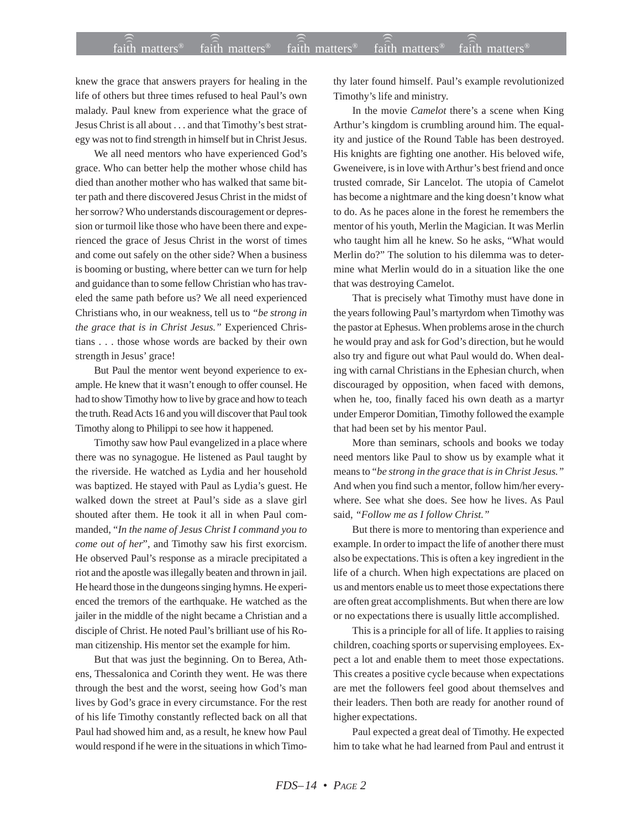knew the grace that answers prayers for healing in the life of others but three times refused to heal Paul's own malady. Paul knew from experience what the grace of Jesus Christ is all about . . . and that Timothy's best strategy was not to find strength in himself but in Christ Jesus.

We all need mentors who have experienced God's grace. Who can better help the mother whose child has died than another mother who has walked that same bitter path and there discovered Jesus Christ in the midst of her sorrow? Who understands discouragement or depression or turmoil like those who have been there and experienced the grace of Jesus Christ in the worst of times and come out safely on the other side? When a business is booming or busting, where better can we turn for help and guidance than to some fellow Christian who has traveled the same path before us? We all need experienced Christians who, in our weakness, tell us to *"be strong in the grace that is in Christ Jesus."* Experienced Christians . . . those whose words are backed by their own strength in Jesus' grace!

But Paul the mentor went beyond experience to example. He knew that it wasn't enough to offer counsel. He had to show Timothy how to live by grace and how to teach the truth. Read Acts 16 and you will discover that Paul took Timothy along to Philippi to see how it happened.

Timothy saw how Paul evangelized in a place where there was no synagogue. He listened as Paul taught by the riverside. He watched as Lydia and her household was baptized. He stayed with Paul as Lydia's guest. He walked down the street at Paul's side as a slave girl shouted after them. He took it all in when Paul commanded, "*In the name of Jesus Christ I command you to come out of her*", and Timothy saw his first exorcism. He observed Paul's response as a miracle precipitated a riot and the apostle was illegally beaten and thrown in jail. He heard those in the dungeons singing hymns. He experienced the tremors of the earthquake. He watched as the jailer in the middle of the night became a Christian and a disciple of Christ. He noted Paul's brilliant use of his Roman citizenship. His mentor set the example for him.

But that was just the beginning. On to Berea, Athens, Thessalonica and Corinth they went. He was there through the best and the worst, seeing how God's man lives by God's grace in every circumstance. For the rest of his life Timothy constantly reflected back on all that Paul had showed him and, as a result, he knew how Paul would respond if he were in the situations in which Timothy later found himself. Paul's example revolutionized Timothy's life and ministry.

In the movie *Camelot* there's a scene when King Arthur's kingdom is crumbling around him. The equality and justice of the Round Table has been destroyed. His knights are fighting one another. His beloved wife, Gweneivere, is in love with Arthur's best friend and once trusted comrade, Sir Lancelot. The utopia of Camelot has become a nightmare and the king doesn't know what to do. As he paces alone in the forest he remembers the mentor of his youth, Merlin the Magician. It was Merlin who taught him all he knew. So he asks, "What would Merlin do?" The solution to his dilemma was to determine what Merlin would do in a situation like the one that was destroying Camelot.

That is precisely what Timothy must have done in the years following Paul's martyrdom when Timothy was the pastor at Ephesus. When problems arose in the church he would pray and ask for God's direction, but he would also try and figure out what Paul would do. When dealing with carnal Christians in the Ephesian church, when discouraged by opposition, when faced with demons, when he, too, finally faced his own death as a martyr under Emperor Domitian, Timothy followed the example that had been set by his mentor Paul.

More than seminars, schools and books we today need mentors like Paul to show us by example what it means to "*be strong in the grace that is in Christ Jesus."* And when you find such a mentor, follow him/her everywhere. See what she does. See how he lives. As Paul said, *"Follow me as I follow Christ."*

But there is more to mentoring than experience and example. In order to impact the life of another there must also be expectations. This is often a key ingredient in the life of a church. When high expectations are placed on us and mentors enable us to meet those expectations there are often great accomplishments. But when there are low or no expectations there is usually little accomplished.

This is a principle for all of life. It applies to raising children, coaching sports or supervising employees. Expect a lot and enable them to meet those expectations. This creates a positive cycle because when expectations are met the followers feel good about themselves and their leaders. Then both are ready for another round of higher expectations.

Paul expected a great deal of Timothy. He expected him to take what he had learned from Paul and entrust it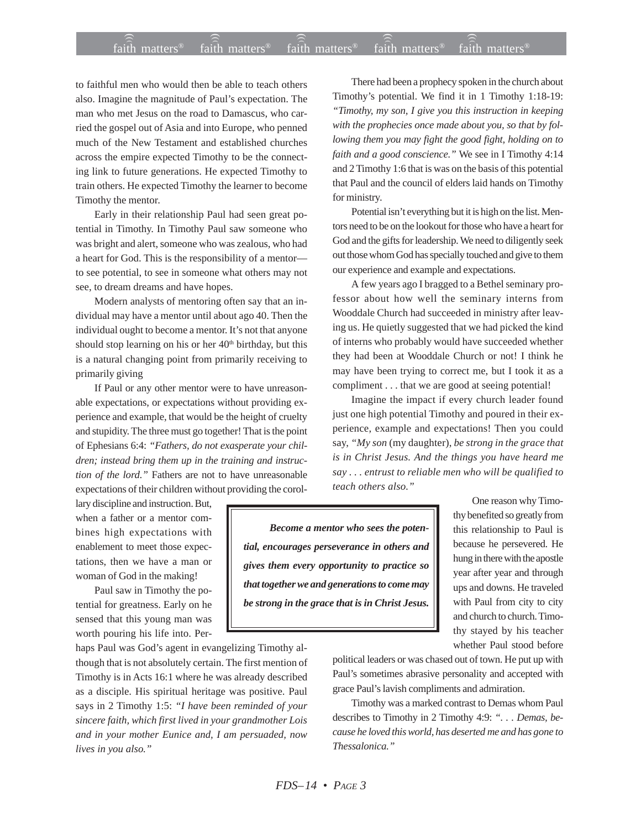## $f$ aith matters® staith matters® staith matters® staith matters® staith matters® faith matters<sup>®</sup> faith matters<sup>®</sup> faith matters<sup>®</sup>

to faithful men who would then be able to teach others also. Imagine the magnitude of Paul's expectation. The man who met Jesus on the road to Damascus, who carried the gospel out of Asia and into Europe, who penned much of the New Testament and established churches across the empire expected Timothy to be the connecting link to future generations. He expected Timothy to train others. He expected Timothy the learner to become Timothy the mentor.

Early in their relationship Paul had seen great potential in Timothy. In Timothy Paul saw someone who was bright and alert, someone who was zealous, who had a heart for God. This is the responsibility of a mentor to see potential, to see in someone what others may not see, to dream dreams and have hopes.

Modern analysts of mentoring often say that an individual may have a mentor until about ago 40. Then the individual ought to become a mentor. It's not that anyone should stop learning on his or her  $40<sup>th</sup>$  birthday, but this is a natural changing point from primarily receiving to primarily giving

If Paul or any other mentor were to have unreasonable expectations, or expectations without providing experience and example, that would be the height of cruelty and stupidity. The three must go together! That is the point of Ephesians 6:4: *"Fathers, do not exasperate your children; instead bring them up in the training and instruction of the lord."* Fathers are not to have unreasonable expectations of their children without providing the corol-

lary discipline and instruction. But, when a father or a mentor combines high expectations with enablement to meet those expectations, then we have a man or woman of God in the making!

Paul saw in Timothy the potential for greatness. Early on he sensed that this young man was worth pouring his life into. Per-

haps Paul was God's agent in evangelizing Timothy although that is not absolutely certain. The first mention of Timothy is in Acts 16:1 where he was already described as a disciple. His spiritual heritage was positive. Paul says in 2 Timothy 1:5: *"I have been reminded of your sincere faith, which first lived in your grandmother Lois and in your mother Eunice and, I am persuaded, now lives in you also."*

There had been a prophecy spoken in the church about Timothy's potential. We find it in 1 Timothy 1:18-19: *"Timothy, my son, I give you this instruction in keeping with the prophecies once made about you, so that by following them you may fight the good fight, holding on to faith and a good conscience."* We see in I Timothy 4:14 and 2 Timothy 1:6 that is was on the basis of this potential that Paul and the council of elders laid hands on Timothy for ministry.

Potential isn't everything but it is high on the list. Mentors need to be on the lookout for those who have a heart for God and the gifts for leadership. We need to diligently seek out those whom God has specially touched and give to them our experience and example and expectations.

A few years ago I bragged to a Bethel seminary professor about how well the seminary interns from Wooddale Church had succeeded in ministry after leaving us. He quietly suggested that we had picked the kind of interns who probably would have succeeded whether they had been at Wooddale Church or not! I think he may have been trying to correct me, but I took it as a compliment . . . that we are good at seeing potential!

Imagine the impact if every church leader found just one high potential Timothy and poured in their experience, example and expectations! Then you could say, *"My son* (my daughter), *be strong in the grace that is in Christ Jesus. And the things you have heard me say . . . entrust to reliable men who will be qualified to teach others also."*

*Become a mentor who sees the potential, encourages perseverance in others and gives them every opportunity to practice so that together we and generations to come may be strong in the grace that is in Christ Jesus.*

One reason why Timothy benefited so greatly from this relationship to Paul is because he persevered. He hung in there with the apostle year after year and through ups and downs. He traveled with Paul from city to city and church to church. Timothy stayed by his teacher whether Paul stood before

political leaders or was chased out of town. He put up with Paul's sometimes abrasive personality and accepted with grace Paul's lavish compliments and admiration.

Timothy was a marked contrast to Demas whom Paul describes to Timothy in 2 Timothy 4:9: *". . . Demas, because he loved this world, has deserted me and has gone to Thessalonica."*